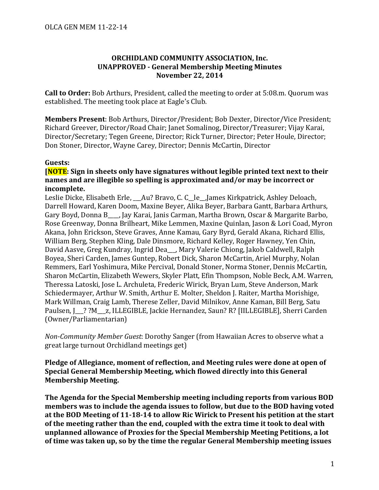## **ORCHIDLAND COMMUNITY ASSOCIATION, Inc. UNAPPROVED - General Membership Meeting Minutes November 22, 2014**

**Call to Order:** Bob Arthurs, President, called the meeting to order at 5:08.m. Quorum was established. The meeting took place at Eagle's Club.

Members Present: Bob Arthurs, Director/President; Bob Dexter, Director/Vice President: Richard Greever, Director/Road Chair; Janet Somalinog, Director/Treasurer; Vijay Karai, Director/Secretary; Tegen Greene, Director; Rick Turner, Director; Peter Houle, Director; Don Stoner, Director, Wayne Carey, Director; Dennis McCartin, Director

## **Guests:**

## **[NOTE:** Sign in sheets only have signatures without legible printed text next to their names and are illegible so spelling is approximated and/or may be incorrect or incomplete.

Leslie Dicke, Elisabeth Erle, Au? Bravo, C. C le, James Kirkpatrick, Ashley Deloach, Darrell Howard, Karen Doom, Maxine Beyer, Alika Beyer, Barbara Gantt, Barbara Arthurs, Gary Boyd, Donna B , Jay Karai, Janis Carman, Martha Brown, Oscar & Margarite Barbo, Rose Greenway, Donna Brilheart, Mike Lemmen, Maxine Quinlan, Jason & Lori Coad, Myron Akana, John Erickson, Steve Graves, Anne Kamau, Gary Byrd, Gerald Akana, Richard Ellis, William Berg, Stephen Kling, Dale Dinsmore, Richard Kelley, Roger Hawney, Yen Chin, David Aasve, Greg Kundray, Ingrid Dea , Mary Valerie Chiong, Jakob Caldwell, Ralph Boyea, Sheri Carden, James Guntep, Robert Dick, Sharon McCartin, Ariel Murphy, Nolan Remmers, Earl Yoshimura, Mike Percival, Donald Stoner, Norma Stoner, Dennis McCartin, Sharon McCartin, Elizabeth Wewers, Skyler Platt, Efin Thompson, Noble Beck, A.M. Warren, Theressa Latoski, Jose L. Archuleta, Frederic Wirick, Bryan Lum, Steve Anderson, Mark Schiedermayer, Arthur W. Smith, Arthur E. Molter, Sheldon J. Raiter, Martha Morishige, Mark Willman, Craig Lamb, Therese Zeller, David Milnikov, Anne Kaman, Bill Berg, Satu Paulsen, J\_\_? ?M\_\_\_z, ILLEGIBLE, Jackie Hernandez, Saun? R? [IILLEGIBLE], Sherri Carden (Owner/Parliamentarian)

*Non-Community Member Guest: Dorothy Sanger* (from Hawaiian Acres to observe what a great large turnout Orchidland meetings get)

Pledge of Allegiance, moment of reflection, and Meeting rules were done at open of **Special General Membership Meeting, which flowed directly into this General Membership Meeting.** 

**The Agenda for the Special Membership meeting including reports from various BOD** members was to include the agenda issues to follow, but due to the BOD having voted at the BOD Meeting of 11-18-14 to allow Ric Wirick to Present his petition at the start of the meeting rather than the end, coupled with the extra time it took to deal with unplanned allowance of Proxies for the Special Membership Meeting Petitions, a lot of time was taken up, so by the time the regular General Membership meeting issues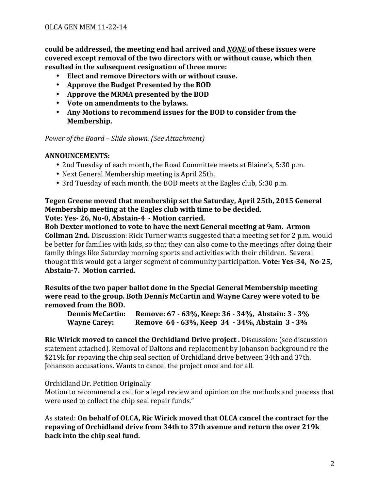**could be addressed, the meeting end had arrived and** *NONE* **of these issues were** covered except removal of the two directors with or without cause, which then resulted in the subsequent resignation of three more:

- **Elect and remove Directors with or without cause.**
- Approve the Budget Presented by the BOD
- Approve the MRMA presented by the BOD
- Vote on amendments to the bylaws.
- Any Motions to recommend issues for the BOD to consider from the **Membership.**

*Power of the Board - Slide shown.* (See Attachment)

## **ANNOUNCEMENTS:**

- 2nd Tuesday of each month, the Road Committee meets at Blaine's, 5:30 p.m.
- Next General Membership meeting is April 25th.
- 3rd Tuesday of each month, the BOD meets at the Eagles club, 5:30 p.m.

# **Tegen Greene moved that membership set the Saturday, April 25th, 2015 General Membership** meeting at the Eagles club with time to be decided.

**Vote: Yes- 26, No-0, Abstain-4 - Motion carried.** 

**Bob Dexter motioned to vote to have the next General meeting at 9am. Armon Collman 2nd.** Discussion: Rick Turner wants suggested that a meeting set for 2 p.m. would be better for families with kids, so that they can also come to the meetings after doing their family things like Saturday morning sports and activities with their children. Several thought this would get a larger segment of community participation. Vote: Yes-34, No-25, Abstain-7. Motion carried.

**Results of the two paper ballot done in the Special General Membership meeting were read to the group. Both Dennis McCartin and Wayne Carey were voted to be removed** from the BOD.

**Dennis McCartin:** Remove: 67 - 63%, Keep: 36 - 34%, Abstain: 3 - 3% **Wayne Carey:** Remove 64 - 63%, Keep 34 - 34%, Abstain 3 - 3%

**Ric Wirick moved to cancel the Orchidland Drive project.** Discussion: (see discussion statement attached). Removal of Daltons and replacement by Johanson background re the \$219k for repaving the chip seal section of Orchidland drive between 34th and 37th. Johanson accusations. Wants to cancel the project once and for all.

Orchidland Dr. Petition Originally

Motion to recommend a call for a legal review and opinion on the methods and process that were used to collect the chip seal repair funds."

As stated: On behalf of OLCA, Ric Wirick moved that OLCA cancel the contract for the **repaving of Orchidland drive from 34th to 37th avenue and return the over 219k** back into the chip seal fund.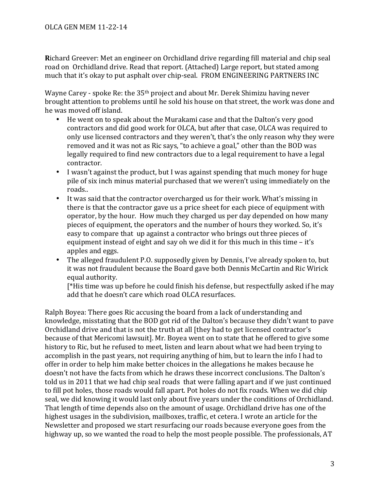**Richard Greever:** Met an engineer on Orchidland drive regarding fill material and chip seal road on Orchidland drive. Read that report. (Attached) Large report, but stated among much that it's okay to put asphalt over chip-seal. FROM ENGINEERING PARTNERS INC

Wayne Carey - spoke Re: the 35<sup>th</sup> project and about Mr. Derek Shimizu having never brought attention to problems until he sold his house on that street, the work was done and he was moved off island.

- He went on to speak about the Murakami case and that the Dalton's very good contractors and did good work for OLCA, but after that case, OLCA was required to only use licensed contractors and they weren't, that's the only reason why they were removed and it was not as Ric says, "to achieve a goal," other than the BOD was legally required to find new contractors due to a legal requirement to have a legal contractor.
- I wasn't against the product, but I was against spending that much money for huge pile of six inch minus material purchased that we weren't using immediately on the roads..
- It was said that the contractor overcharged us for their work. What's missing in there is that the contractor gave us a price sheet for each piece of equipment with operator, by the hour. How much they charged us per day depended on how many pieces of equipment, the operators and the number of hours they worked. So, it's easy to compare that up against a contractor who brings out three pieces of equipment instead of eight and say oh we did it for this much in this time  $-$  it's apples and eggs.
- The alleged fraudulent P.O. supposedly given by Dennis, I've already spoken to, but it was not fraudulent because the Board gave both Dennis McCartin and Ric Wirick equal authority.

 $[*$ His time was up before he could finish his defense, but respectfully asked if he may add that he doesn't care which road OLCA resurfaces.

Ralph Boyea: There goes Ric accusing the board from a lack of understanding and knowledge, misstating that the BOD got rid of the Dalton's because they didn't want to pave Orchidland drive and that is not the truth at all [they had to get licensed contractor's because of that Mericomi lawsuit]. Mr. Boyea went on to state that he offered to give some history to Ric, but he refused to meet, listen and learn about what we had been trying to accomplish in the past years, not requiring anything of him, but to learn the info I had to offer in order to help him make better choices in the allegations he makes because he doesn't not have the facts from which he draws these incorrect conclusions. The Dalton's told us in 2011 that we had chip seal roads that were falling apart and if we just continued to fill pot holes, those roads would fall apart. Pot holes do not fix roads. When we did chip seal, we did knowing it would last only about five years under the conditions of Orchidland. That length of time depends also on the amount of usage. Orchidland drive has one of the highest usages in the subdivision, mailboxes, traffic, et cetera. I wrote an article for the Newsletter and proposed we start resurfacing our roads because everyone goes from the highway up, so we wanted the road to help the most people possible. The professionals, AT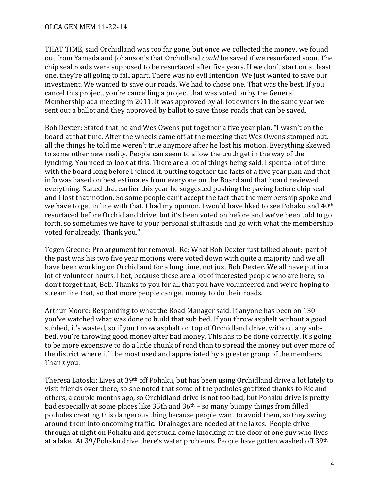OLCA GEN MEM 11-22-14

THAT TIME, said Orchidland was too far gone, but once we collected the money, we found out from Yamada and Johanson's that Orchidland *could* be saved if we resurfaced soon. The chip seal roads were supposed to be resurfaced after five years. If we don't start on at least one, they're all going to fall apart. There was no evil intention. We just wanted to save our investment. We wanted to save our roads. We had to chose one. That was the best. If you cancel this project, you're cancelling a project that was voted on by the General Membership at a meeting in 2011. It was approved by all lot owners in the same year we sent out a ballot and they approved by ballot to save those roads that can be saved.

Bob Dexter: Stated that he and Wes Owens put together a five year plan. "I wasn't on the board at that time. After the wheels came off at the meeting that Wes Owens stomped out, all the things he told me weren't true anymore after he lost his motion. Everything skewed to some other new reality. People can seem to allow the truth get in the way of the lynching. You need to look at this. There are a lot of things being said. I spent a lot of time with the board long before I joined it, putting together the facts of a five year plan and that info was based on best estimates from everyone on the Board and that board reviewed everything. Stated that earlier this year he suggested pushing the paving before chip seal and I lost that motion. So some people can't accept the fact that the membership spoke and we have to get in line with that. I had my opinion. I would have liked to see Pohaku and 40<sup>th</sup> resurfaced before Orchidland drive, but it's been voted on before and we've been told to go forth, so sometimes we have to your personal stuff aside and go with what the membership voted for already. Thank you."

Tegen Greene: Pro argument for removal. Re: What Bob Dexter just talked about: part of the past was his two five year motions were voted down with quite a majority and we all have been working on Orchidland for a long time, not just Bob Dexter. We all have put in a lot of volunteer hours, I bet, because these are a lot of interested people who are here, so don't forget that, Bob. Thanks to you for all that you have volunteered and we're hoping to streamline that, so that more people can get money to do their roads.

Arthur Moore: Responding to what the Road Manager said. If anyone has been on 130 you've watched what was done to build that sub bed. If you throw asphalt without a good subbed, it's wasted, so if you throw asphalt on top of Orchidland drive, without any subbed, you're throwing good money after bad money. This has to be done correctly. It's going to be more expensive to do a little chunk of road than to spread the money out over more of the district where it'll be most used and appreciated by a greater group of the members. Thank you.

Theresa Latoski: Lives at 39<sup>th</sup> off Pohaku, but has been using Orchidland drive a lot lately to visit friends over there, so she noted that some of the potholes got fixed thanks to Ric and others, a couple months ago, so Orchidland drive is not too bad, but Pohaku drive is pretty bad especially at some places like  $35$ th and  $36<sup>th</sup>$  – so many bumpy things from filled potholes creating this dangerous thing because people want to avoid them, so they swing around them into oncoming traffic. Drainages are needed at the lakes. People drive through at night on Pohaku and get stuck, come knocking at the door of one guy who lives at a lake. At 39/Pohaku drive there's water problems. People have gotten washed off  $39<sup>th</sup>$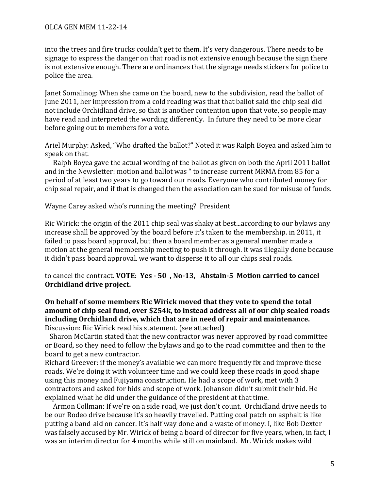### OLCA GEN MEM 11-22-14

into the trees and fire trucks couldn't get to them. It's very dangerous. There needs to be signage to express the danger on that road is not extensive enough because the sign there is not extensive enough. There are ordinances that the signage needs stickers for police to police the area.

Janet Somalinog: When she came on the board, new to the subdivision, read the ballot of June 2011, her impression from a cold reading was that that ballot said the chip seal did not include Orchidland drive, so that is another contention upon that vote, so people may have read and interpreted the wording differently. In future they need to be more clear before going out to members for a vote.

Ariel Murphy: Asked, "Who drafted the ballot?" Noted it was Ralph Boyea and asked him to speak on that.

Ralph Boyea gave the actual wording of the ballot as given on both the April 2011 ballot and in the Newsletter: motion and ballot was " to increase current MRMA from 85 for a period of at least two years to go toward our roads. Everyone who contributed money for chip seal repair, and if that is changed then the association can be sued for misuse of funds.

Wayne Carey asked who's running the meeting? President

Ric Wirick: the origin of the 2011 chip seal was shaky at best...according to our bylaws any increase shall be approved by the board before it's taken to the membership. in 2011, it failed to pass board approval, but then a board member as a general member made a motion at the general membership meeting to push it through. it was illegally done because it didn't pass board approval. we want to disperse it to all our chips seal roads.

to cancel the contract. **VOTE:** Yes - 50, No-13, Abstain-5 Motion carried to cancel **Orchidland drive project.** 

### On behalf of some members Ric Wirick moved that they vote to spend the total amount of chip seal fund, over \$254k, to instead address all of our chip sealed roads including Orchidland drive, which that are in need of repair and maintenance. Discussion: Ric Wirick read his statement. (see attached)

Sharon McCartin stated that the new contractor was never approved by road committee or Board, so they need to follow the bylaws and go to the road committee and then to the board to get a new contractor.

Richard Greever: if the money's available we can more frequently fix and improve these roads. We're doing it with volunteer time and we could keep these roads in good shape using this money and Fujiyama construction. He had a scope of work, met with 3 contractors and asked for bids and scope of work. Johanson didn't submit their bid. He explained what he did under the guidance of the president at that time.

Armon Collman: If we're on a side road, we just don't count. Orchidland drive needs to be our Rodeo drive because it's so heavily travelled. Putting coal patch on asphalt is like putting a band-aid on cancer. It's half way done and a waste of money. I, like Bob Dexter was falsely accused by Mr. Wirick of being a board of director for five years, when, in fact, I was an interim director for 4 months while still on mainland. Mr. Wirick makes wild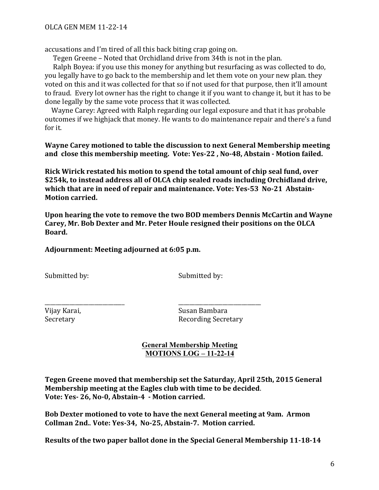OLCA GEN MEM 11-22-14

accusations and I'm tired of all this back biting crap going on.

Tegen Greene – Noted that Orchidland drive from 34th is not in the plan.

Ralph Boyea: if you use this money for anything but resurfacing as was collected to do, you legally have to go back to the membership and let them vote on your new plan. they voted on this and it was collected for that so if not used for that purpose, then it'll amount to fraud. Every lot owner has the right to change it if you want to change it, but it has to be done legally by the same vote process that it was collected.

Wayne Carey: Agreed with Ralph regarding our legal exposure and that it has probable outcomes if we highjack that money. He wants to do maintenance repair and there's a fund for it.

**Wayne Carey motioned to table the discussion to next General Membership meeting** and close this membership meeting. Vote: Yes-22, No-48, Abstain - Motion failed.

**Rick Wirick restated his motion to spend the total amount of chip seal fund, over \$254k,** to instead address all of OLCA chip sealed roads including Orchidland drive, which that are in need of repair and maintenance. Vote: Yes-53 No-21 Abstain-**Motion carried.** 

Upon hearing the vote to remove the two BOD members Dennis McCartin and Wayne Carey, Mr. Bob Dexter and Mr. Peter Houle resigned their positions on the OLCA Board.

Adjournment: Meeting adjourned at 6:05 p.m.

\_\_\_\_\_\_\_\_\_\_\_\_\_\_\_\_\_\_\_\_\_\_\_\_\_\_\_\_\_ \_\_\_\_\_\_\_\_\_\_\_\_\_\_\_\_\_\_\_\_\_\_\_\_\_\_\_\_\_\_

Submitted by: Submitted by:

Vijay Karai, Susan Bambara Secretary **Recording Secretary** 

## **General Membership Meeting MOTIONS LOG – 11-22-14**

**Tegen Greene moved that membership set the Saturday, April 25th, 2015 General Membership** meeting at the Eagles club with time to be decided. Vote: Yes- 26, No-0, Abstain-4 - Motion carried.

**Bob Dexter motioned to vote to have the next General meeting at 9am.** Armon Collman 2nd.. Vote: Yes-34, No-25, Abstain-7. Motion carried.

**Results of the two paper ballot done in the Special General Membership 11-18-14**